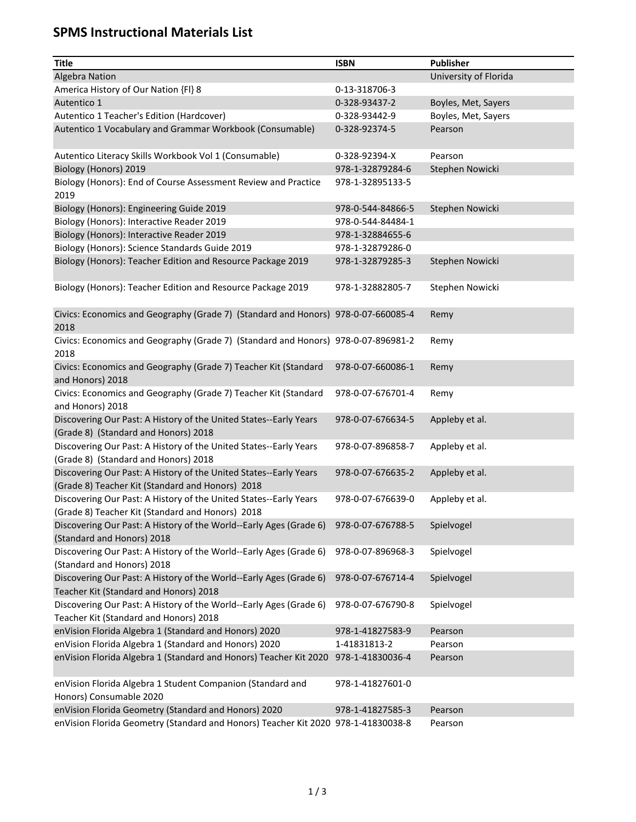## **SPMS Instructional Materials List**

| <b>Title</b>                                                                                                          | <b>ISBN</b>       | <b>Publisher</b>      |
|-----------------------------------------------------------------------------------------------------------------------|-------------------|-----------------------|
| <b>Algebra Nation</b>                                                                                                 |                   | University of Florida |
| America History of Our Nation {FI} 8                                                                                  | 0-13-318706-3     |                       |
| Autentico 1                                                                                                           | 0-328-93437-2     | Boyles, Met, Sayers   |
| Autentico 1 Teacher's Edition (Hardcover)                                                                             | 0-328-93442-9     | Boyles, Met, Sayers   |
| Autentico 1 Vocabulary and Grammar Workbook (Consumable)                                                              | 0-328-92374-5     | Pearson               |
| Autentico Literacy Skills Workbook Vol 1 (Consumable)                                                                 | 0-328-92394-X     | Pearson               |
| Biology (Honors) 2019                                                                                                 | 978-1-32879284-6  | Stephen Nowicki       |
| Biology (Honors): End of Course Assessment Review and Practice<br>2019                                                | 978-1-32895133-5  |                       |
| Biology (Honors): Engineering Guide 2019                                                                              | 978-0-544-84866-5 | Stephen Nowicki       |
| Biology (Honors): Interactive Reader 2019                                                                             | 978-0-544-84484-1 |                       |
| Biology (Honors): Interactive Reader 2019                                                                             | 978-1-32884655-6  |                       |
| Biology (Honors): Science Standards Guide 2019                                                                        | 978-1-32879286-0  |                       |
| Biology (Honors): Teacher Edition and Resource Package 2019                                                           | 978-1-32879285-3  | Stephen Nowicki       |
| Biology (Honors): Teacher Edition and Resource Package 2019                                                           | 978-1-32882805-7  | Stephen Nowicki       |
| Civics: Economics and Geography (Grade 7) (Standard and Honors) 978-0-07-660085-4<br>2018                             |                   | Remy                  |
| Civics: Economics and Geography (Grade 7) (Standard and Honors) 978-0-07-896981-2<br>2018                             |                   | Remy                  |
| Civics: Economics and Geography (Grade 7) Teacher Kit (Standard<br>and Honors) 2018                                   | 978-0-07-660086-1 | Remy                  |
| Civics: Economics and Geography (Grade 7) Teacher Kit (Standard<br>and Honors) 2018                                   | 978-0-07-676701-4 | Remy                  |
| Discovering Our Past: A History of the United States--Early Years<br>(Grade 8) (Standard and Honors) 2018             | 978-0-07-676634-5 | Appleby et al.        |
| Discovering Our Past: A History of the United States--Early Years<br>(Grade 8) (Standard and Honors) 2018             | 978-0-07-896858-7 | Appleby et al.        |
| Discovering Our Past: A History of the United States--Early Years<br>(Grade 8) Teacher Kit (Standard and Honors) 2018 | 978-0-07-676635-2 | Appleby et al.        |
| Discovering Our Past: A History of the United States--Early Years<br>(Grade 8) Teacher Kit (Standard and Honors) 2018 | 978-0-07-676639-0 | Appleby et al.        |
| Discovering Our Past: A History of the World--Early Ages (Grade 6)<br>(Standard and Honors) 2018                      | 978-0-07-676788-5 | Spielvogel            |
| Discovering Our Past: A History of the World--Early Ages (Grade 6)<br>(Standard and Honors) 2018                      | 978-0-07-896968-3 | Spielvogel            |
| Discovering Our Past: A History of the World--Early Ages (Grade 6)<br>Teacher Kit (Standard and Honors) 2018          | 978-0-07-676714-4 | Spielvogel            |
| Discovering Our Past: A History of the World--Early Ages (Grade 6)<br>Teacher Kit (Standard and Honors) 2018          | 978-0-07-676790-8 | Spielvogel            |
| enVision Florida Algebra 1 (Standard and Honors) 2020                                                                 | 978-1-41827583-9  | Pearson               |
| enVision Florida Algebra 1 (Standard and Honors) 2020                                                                 | 1-41831813-2      | Pearson               |
| enVision Florida Algebra 1 (Standard and Honors) Teacher Kit 2020                                                     | 978-1-41830036-4  | Pearson               |
| enVision Florida Algebra 1 Student Companion (Standard and<br>Honors) Consumable 2020                                 | 978-1-41827601-0  |                       |
| enVision Florida Geometry (Standard and Honors) 2020                                                                  | 978-1-41827585-3  | Pearson               |
| enVision Florida Geometry (Standard and Honors) Teacher Kit 2020 978-1-41830038-8                                     |                   | Pearson               |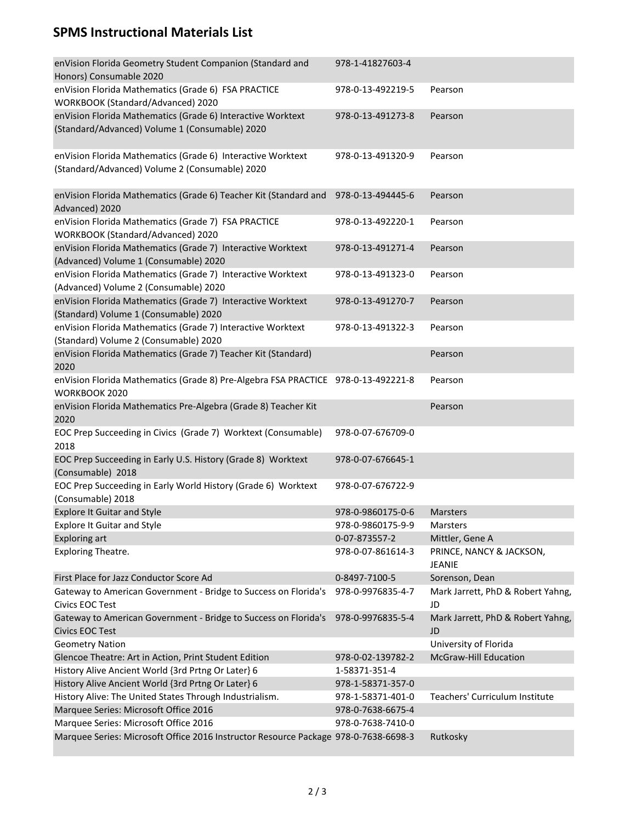## **SPMS Instructional Materials List**

| enVision Florida Geometry Student Companion (Standard and<br>Honors) Consumable 2020                          | 978-1-41827603-4  |                                           |
|---------------------------------------------------------------------------------------------------------------|-------------------|-------------------------------------------|
| enVision Florida Mathematics (Grade 6) FSA PRACTICE<br>WORKBOOK (Standard/Advanced) 2020                      | 978-0-13-492219-5 | Pearson                                   |
| enVision Florida Mathematics (Grade 6) Interactive Worktext<br>(Standard/Advanced) Volume 1 (Consumable) 2020 | 978-0-13-491273-8 | Pearson                                   |
| enVision Florida Mathematics (Grade 6) Interactive Worktext<br>(Standard/Advanced) Volume 2 (Consumable) 2020 | 978-0-13-491320-9 | Pearson                                   |
| enVision Florida Mathematics (Grade 6) Teacher Kit (Standard and 978-0-13-494445-6<br>Advanced) 2020          |                   | Pearson                                   |
| enVision Florida Mathematics (Grade 7) FSA PRACTICE<br>WORKBOOK (Standard/Advanced) 2020                      | 978-0-13-492220-1 | Pearson                                   |
| enVision Florida Mathematics (Grade 7) Interactive Worktext<br>(Advanced) Volume 1 (Consumable) 2020          | 978-0-13-491271-4 | Pearson                                   |
| enVision Florida Mathematics (Grade 7) Interactive Worktext<br>(Advanced) Volume 2 (Consumable) 2020          | 978-0-13-491323-0 | Pearson                                   |
| enVision Florida Mathematics (Grade 7) Interactive Worktext<br>(Standard) Volume 1 (Consumable) 2020          | 978-0-13-491270-7 | Pearson                                   |
| enVision Florida Mathematics (Grade 7) Interactive Worktext<br>(Standard) Volume 2 (Consumable) 2020          | 978-0-13-491322-3 | Pearson                                   |
| enVision Florida Mathematics (Grade 7) Teacher Kit (Standard)<br>2020                                         |                   | Pearson                                   |
| enVision Florida Mathematics (Grade 8) Pre-Algebra FSA PRACTICE 978-0-13-492221-8<br>WORKBOOK 2020            |                   | Pearson                                   |
| enVision Florida Mathematics Pre-Algebra (Grade 8) Teacher Kit<br>2020                                        |                   | Pearson                                   |
| EOC Prep Succeeding in Civics (Grade 7) Worktext (Consumable)<br>2018                                         | 978-0-07-676709-0 |                                           |
| EOC Prep Succeeding in Early U.S. History (Grade 8) Worktext<br>(Consumable) 2018                             | 978-0-07-676645-1 |                                           |
| EOC Prep Succeeding in Early World History (Grade 6) Worktext<br>(Consumable) 2018                            | 978-0-07-676722-9 |                                           |
| <b>Explore It Guitar and Style</b>                                                                            | 978-0-9860175-0-6 | <b>Marsters</b>                           |
| <b>Explore It Guitar and Style</b>                                                                            | 978-0-9860175-9-9 | <b>Marsters</b>                           |
| <b>Exploring art</b>                                                                                          | 0-07-873557-2     | Mittler, Gene A                           |
| <b>Exploring Theatre.</b>                                                                                     | 978-0-07-861614-3 | PRINCE, NANCY & JACKSON,<br><b>JEANIE</b> |
| First Place for Jazz Conductor Score Ad                                                                       | 0-8497-7100-5     | Sorenson, Dean                            |
| Gateway to American Government - Bridge to Success on Florida's<br><b>Civics EOC Test</b>                     | 978-0-9976835-4-7 | Mark Jarrett, PhD & Robert Yahng,<br>JD   |
| Gateway to American Government - Bridge to Success on Florida's 978-0-9976835-5-4<br><b>Civics EOC Test</b>   |                   | Mark Jarrett, PhD & Robert Yahng,<br>JD   |
| <b>Geometry Nation</b>                                                                                        |                   | University of Florida                     |
| Glencoe Theatre: Art in Action, Print Student Edition                                                         | 978-0-02-139782-2 | <b>McGraw-Hill Education</b>              |
| History Alive Ancient World {3rd Prtng Or Later} 6                                                            | 1-58371-351-4     |                                           |
| History Alive Ancient World {3rd Prtng Or Later} 6                                                            | 978-1-58371-357-0 |                                           |
| History Alive: The United States Through Industrialism.                                                       | 978-1-58371-401-0 | Teachers' Curriculum Institute            |
| Marquee Series: Microsoft Office 2016                                                                         | 978-0-7638-6675-4 |                                           |
| Marquee Series: Microsoft Office 2016                                                                         | 978-0-7638-7410-0 |                                           |
| Marquee Series: Microsoft Office 2016 Instructor Resource Package 978-0-7638-6698-3                           |                   | Rutkosky                                  |